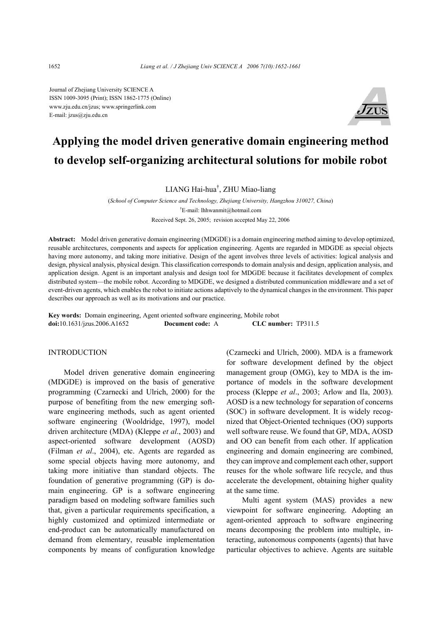Journal of Zhejiang University SCIENCE A ISSN 1009-3095 (Print); ISSN 1862-1775 (Online) www.zju.edu.cn/jzus; www.springerlink.com E-mail: jzus@zju.edu.cn



# **Applying the model driven generative domain engineering method to develop self-organizing architectural solutions for mobile robot**

LIANG Hai-hua† , ZHU Miao-liang

(*School of Computer Science and Technology, Zhejiang University, Hangzhou 310027, China*) † E-mail: lhhwanmit@hotmail.com Received Sept. 26, 2005; revision accepted May 22, 2006

**Abstract:** Model driven generative domain engineering (MDGDE) is a domain engineering method aiming to develop optimized, reusable architectures, components and aspects for application engineering. Agents are regarded in MDGDE as special objects having more autonomy, and taking more initiative. Design of the agent involves three levels of activities: logical analysis and design, physical analysis, physical design. This classification corresponds to domain analysis and design, application analysis, and application design. Agent is an important analysis and design tool for MDGDE because it facilitates development of complex distributed system—the mobile robot. According to MDGDE, we designed a distributed communication middleware and a set of event-driven agents, which enables the robot to initiate actions adaptively to the dynamical changes in the environment. This paper describes our approach as well as its motivations and our practice.

**Key words:** Domain engineering, Agent oriented software engineering, Mobile robot **doi:**10.1631/jzus.2006.A1652 **Document code:** A **CLC number:** TP311.5

## **INTRODUCTION**

Model driven generative domain engineering (MDGDE) is improved on the basis of generative programming (Czarnecki and Ulrich, 2000) for the purpose of benefiting from the new emerging software engineering methods, such as agent oriented software engineering (Wooldridge, 1997), model driven architecture (MDA) (Kleppe *et al*., 2003) and aspect-oriented software development (AOSD) (Filman *et al*., 2004), etc. Agents are regarded as some special objects having more autonomy, and taking more initiative than standard objects. The foundation of generative programming (GP) is domain engineering. GP is a software engineering paradigm based on modeling software families such that, given a particular requirements specification, a highly customized and optimized intermediate or end-product can be automatically manufactured on demand from elementary, reusable implementation components by means of configuration knowledge (Czarnecki and Ulrich, 2000). MDA is a framework for software development defined by the object management group (OMG), key to MDA is the importance of models in the software development process (Kleppe *et al*., 2003; Arlow and Ila, 2003). AOSD is a new technology for separation of concerns (SOC) in software development. It is widely recognized that Object-Oriented techniques (OO) supports well software reuse. We found that GP, MDA, AOSD and OO can benefit from each other. If application engineering and domain engineering are combined, they can improve and complement each other, support reuses for the whole software life recycle, and thus accelerate the development, obtaining higher quality at the same time.

Multi agent system (MAS) provides a new viewpoint for software engineering. Adopting an agent-oriented approach to software engineering means decomposing the problem into multiple, interacting, autonomous components (agents) that have particular objectives to achieve. Agents are suitable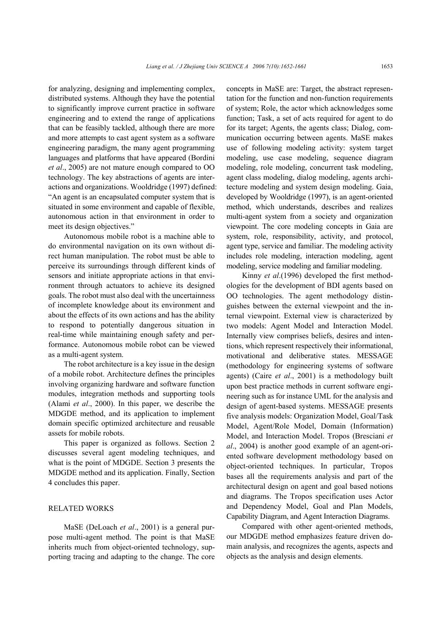for analyzing, designing and implementing complex, distributed systems. Although they have the potential to significantly improve current practice in software engineering and to extend the range of applications that can be feasibly tackled, although there are more and more attempts to cast agent system as a software engineering paradigm, the many agent programming languages and platforms that have appeared (Bordini *et al*., 2005) are not mature enough compared to OO technology. The key abstractions of agents are interactions and organizations. Wooldridge (1997) defined: "An agent is an encapsulated computer system that is situated in some environment and capable of flexible, autonomous action in that environment in order to meet its design objectives."

Autonomous mobile robot is a machine able to do environmental navigation on its own without direct human manipulation. The robot must be able to perceive its surroundings through different kinds of sensors and initiate appropriate actions in that environment through actuators to achieve its designed goals. The robot must also deal with the uncertainness of incomplete knowledge about its environment and about the effects of its own actions and has the ability to respond to potentially dangerous situation in real-time while maintaining enough safety and performance. Autonomous mobile robot can be viewed as a multi-agent system.

The robot architecture is a key issue in the design of a mobile robot. Architecture defines the principles involving organizing hardware and software function modules, integration methods and supporting tools (Alami *et al*., 2000). In this paper, we describe the MDGDE method, and its application to implement domain specific optimized architecture and reusable assets for mobile robots.

This paper is organized as follows. Section 2 discusses several agent modeling techniques, and what is the point of MDGDE. Section 3 presents the MDGDE method and its application. Finally, Section 4 concludes this paper.

## RELATED WORKS

MaSE (DeLoach *et al*., 2001) is a general purpose multi-agent method. The point is that MaSE inherits much from object-oriented technology, supporting tracing and adapting to the change. The core concepts in MaSE are: Target, the abstract representation for the function and non-function requirements of system; Role, the actor which acknowledges some function; Task, a set of acts required for agent to do for its target; Agents, the agents class; Dialog, communication occurring between agents. MaSE makes use of following modeling activity: system target modeling, use case modeling, sequence diagram modeling, role modeling, concurrent task modeling, agent class modeling, dialog modeling, agents architecture modeling and system design modeling. Gaia, developed by Wooldridge (1997), is an agent-oriented method, which understands, describes and realizes multi-agent system from a society and organization viewpoint. The core modeling concepts in Gaia are system, role, responsibility, activity, and protocol, agent type, service and familiar. The modeling activity includes role modeling, interaction modeling, agent modeling, service modeling and familiar modeling.

Kinny *et al*.(1996) developed the first methodologies for the development of BDI agents based on OO technologies. The agent methodology distinguishes between the external viewpoint and the internal viewpoint. External view is characterized by two models: Agent Model and Interaction Model. Internally view comprises beliefs, desires and intentions, which represent respectively their informational, motivational and deliberative states. MESSAGE (methodology for engineering systems of software agents) (Caire *et al*., 2001) is a methodology built upon best practice methods in current software engineering such as for instance UML for the analysis and design of agent-based systems. MESSAGE presents five analysis models: Organization Model, Goal/Task Model, Agent/Role Model, Domain (Information) Model, and Interaction Model. Tropos (Bresciani *et al*., 2004) is another good example of an agent-oriented software development methodology based on object-oriented techniques. In particular, Tropos bases all the requirements analysis and part of the architectural design on agent and goal based notions and diagrams. The Tropos specification uses Actor and Dependency Model, Goal and Plan Models, Capability Diagram, and Agent Interaction Diagrams.

Compared with other agent-oriented methods, our MDGDE method emphasizes feature driven domain analysis, and recognizes the agents, aspects and objects as the analysis and design elements.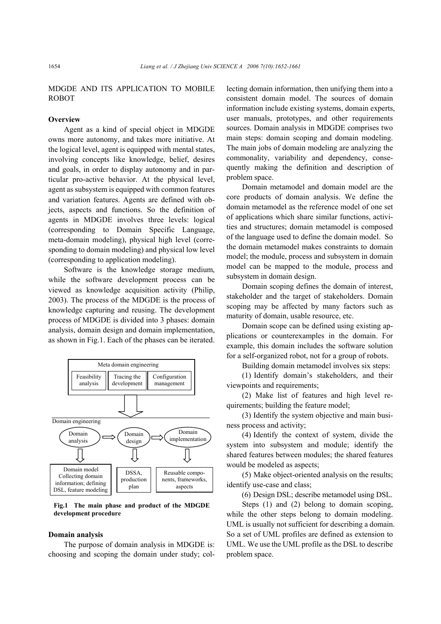# MDGDE AND ITS APPLICATION TO MOBILE ROBOT

## **Overview**

Agent as a kind of special object in MDGDE owns more autonomy, and takes more initiative. At the logical level, agent is equipped with mental states, involving concepts like knowledge, belief, desires and goals, in order to display autonomy and in particular pro-active behavior. At the physical level, agent as subsystem is equipped with common features and variation features. Agents are defined with objects, aspects and functions. So the definition of agents in MDGDE involves three levels: logical (corresponding to Domain Specific Language, meta-domain modeling), physical high level (corresponding to domain modeling) and physical low level (corresponding to application modeling).

Software is the knowledge storage medium, while the software development process can be viewed as knowledge acquisition activity (Philip, 2003). The process of the MDGDE is the process of knowledge capturing and reusing. The development process of MDGDE is divided into 3 phases: domain analysis, domain design and domain implementation, as shown in Fig.1. Each of the phases can be iterated.



#### **Fig.1 The main phase and product of the MDGDE development procedure**

#### **Domain analysis**

The purpose of domain analysis in MDGDE is: choosing and scoping the domain under study; collecting domain information, then unifying them into a consistent domain model. The sources of domain information include existing systems, domain experts, user manuals, prototypes, and other requirements sources. Domain analysis in MDGDE comprises two main steps: domain scoping and domain modeling. The main jobs of domain modeling are analyzing the commonality, variability and dependency, consequently making the definition and description of problem space.

Domain metamodel and domain model are the core products of domain analysis. We define the domain metamodel as the reference model of one set of applications which share similar functions, activities and structures; domain metamodel is composed of the language used to define the domain model. So the domain metamodel makes constraints to domain model; the module, process and subsystem in domain model can be mapped to the module, process and subsystem in domain design.

Domain scoping defines the domain of interest, stakeholder and the target of stakeholders. Domain scoping may be affected by many factors such as maturity of domain, usable resource, etc.

Domain scope can be defined using existing applications or counterexamples in the domain. For example, this domain includes the software solution for a self-organized robot, not for a group of robots.

Building domain metamodel involves six steps:

(1) Identify domain's stakeholders, and their viewpoints and requirements;

(2) Make list of features and high level requirements; building the feature model;

(3) Identify the system objective and main business process and activity;

(4) Identify the context of system, divide the system into subsystem and module; identify the shared features between modules; the shared features would be modeled as aspects;

(5) Make object-oriented analysis on the results; identify use-case and class;

(6) Design DSL; describe metamodel using DSL.

Steps (1) and (2) belong to domain scoping, while the other steps belong to domain modeling. UML is usually not sufficient for describing a domain. So a set of UML profiles are defined as extension to UML. We use the UML profile as the DSL to describe problem space.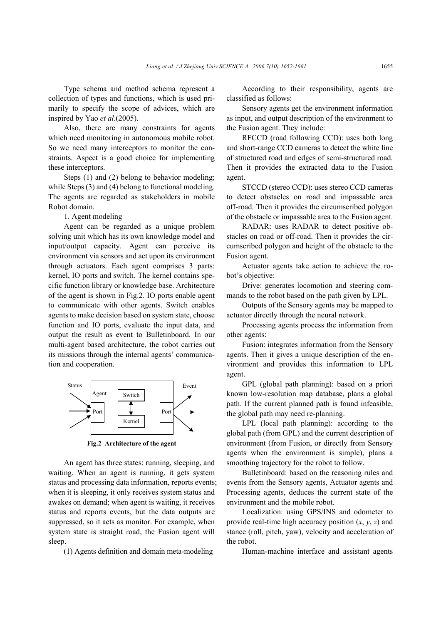Type schema and method schema represent a collection of types and functions, which is used primarily to specify the scope of advices, which are inspired by Yao *et al*.(2005).

Also, there are many constraints for agents which need monitoring in autonomous mobile robot. So we need many interceptors to monitor the constraints. Aspect is a good choice for implementing these interceptors.

Steps (1) and (2) belong to behavior modeling; while Steps (3) and (4) belong to functional modeling. The agents are regarded as stakeholders in mobile Robot domain.

1. Agent modeling

Agent can be regarded as a unique problem solving unit which has its own knowledge model and input/output capacity. Agent can perceive its environment via sensors and act upon its environment through actuators. Each agent comprises 3 parts: kernel, IO ports and switch. The kernel contains specific function library or knowledge base. Architecture of the agent is shown in Fig.2. IO ports enable agent to communicate with other agents. Switch enables agents to make decision based on system state, choose function and IO ports, evaluate the input data, and output the result as event to Bulletinboard. In our multi-agent based architecture, the robot carries out its missions through the internal agents' communication and cooperation.



**Fig.2 Architecture of the agent**

An agent has three states: running, sleeping, and waiting. When an agent is running, it gets system status and processing data information, reports events; when it is sleeping, it only receives system status and awakes on demand; when agent is waiting, it receives status and reports events, but the data outputs are suppressed, so it acts as monitor. For example, when system state is straight road, the Fusion agent will sleep.

(1) Agents definition and domain meta-modeling

According to their responsibility, agents are classified as follows:

Sensory agents get the environment information as input, and output description of the environment to the Fusion agent. They include:

RFCCD (road following CCD): uses both long and short-range CCD cameras to detect the white line of structured road and edges of semi-structured road. Then it provides the extracted data to the Fusion agent.

STCCD (stereo CCD): uses stereo CCD cameras to detect obstacles on road and impassable area off-road. Then it provides the circumscribed polygon of the obstacle or impassable area to the Fusion agent.

RADAR: uses RADAR to detect positive obstacles on road or off-road. Then it provides the circumscribed polygon and height of the obstacle to the Fusion agent.

Actuator agents take action to achieve the robot's objective:

Drive: generates locomotion and steering commands to the robot based on the path given by LPL.

Outputs of the Sensory agents may be mapped to actuator directly through the neural network.

Processing agents process the information from other agents:

Fusion: integrates information from the Sensory agents. Then it gives a unique description of the environment and provides this information to LPL agent.

GPL (global path planning): based on a priori known low-resolution map database, plans a global path. If the current planned path is found infeasible, the global path may need re-planning.

LPL (local path planning): according to the global path (from GPL) and the current description of environment (from Fusion, or directly from Sensory agents when the environment is simple), plans a smoothing trajectory for the robot to follow.

Bulletinboard: based on the reasoning rules and events from the Sensory agents, Actuator agents and Processing agents, deduces the current state of the environment and the mobile robot.

Localization: using GPS/INS and odometer to provide real-time high accuracy position  $(x, y, z)$  and stance (roll, pitch, yaw), velocity and acceleration of the robot.

Human-machine interface and assistant agents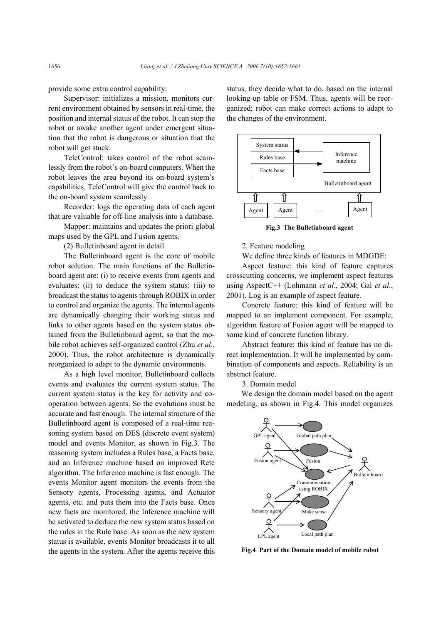provide some extra control capability:

Supervisor: initializes a mission, monitors current environment obtained by sensors in real-time, the position and internal status of the robot. It can stop the robot or awake another agent under emergent situation that the robot is dangerous or situation that the robot will get stuck.

TeleControl: takes control of the robot seamlessly from the robot's on-board computers. When the robot leaves the area beyond its on-board system's capabilities, TeleControl will give the control back to the on-board system seamlessly.

Recorder: logs the operating data of each agent that are valuable for off-line analysis into a database.

Mapper: maintains and updates the priori global maps used by the GPL and Fusion agents.

(2) Bulletinboard agent in detail

The Bulletinboard agent is the core of mobile robot solution. The main functions of the Bulletinboard agent are: (i) to receive events from agents and evaluates; (ii) to deduce the system status; (iii) to broadcast the status to agents through ROBIX in order to control and organize the agents. The internal agents are dynamically changing their working status and links to other agents based on the system status obtained from the Bulletinboard agent, so that the mobile robot achieves self-organized control (Zhu *et al*., 2000). Thus, the robot architecture is dynamically reorganized to adapt to the dynamic environments.

As a high level monitor, Bulletinboard collects events and evaluates the current system status. The current system status is the key for activity and cooperation between agents. So the evolutions must be accurate and fast enough. The internal structure of the Bulletinboard agent is composed of a real-time reasoning system based on DES (discrete event system) model and events Monitor, as shown in Fig.3. The reasoning system includes a Rules base, a Facts base, and an Inference machine based on improved Rete algorithm. The Inference machine is fast enough. The events Monitor agent monitors the events from the Sensory agents, Processing agents, and Actuator agents, etc. and puts them into the Facts base. Once new facts are monitored, the Inference machine will be activated to deduce the new system status based on the rules in the Rule base. As soon as the new system status is available, events Monitor broadcasts it to all the agents in the system. After the agents receive this status, they decide what to do, based on the internal looking-up table or FSM. Thus, agents will be reorganized; robot can make correct actions to adapt to the changes of the environment.



**Fig.3 The Bulletinboard agent**

#### 2. Feature modeling

We define three kinds of features in MDGDE:

Aspect feature: this kind of feature captures crosscutting concerns, we implement aspect features using AspectC++ (Lohmann *et al*., 2004; Gal *et al*., 2001). Log is an example of aspect feature.

Concrete feature: this kind of feature will be mapped to an implement component. For example, algorithm feature of Fusion agent will be mapped to some kind of concrete function library.

Abstract feature: this kind of feature has no direct implementation. It will be implemented by combination of components and aspects. Reliability is an abstract feature.

3. Domain model

We design the domain model based on the agent modeling, as shown in Fig.4. This model organizes



**Fig.4 Part of the Domain model of mobile robot**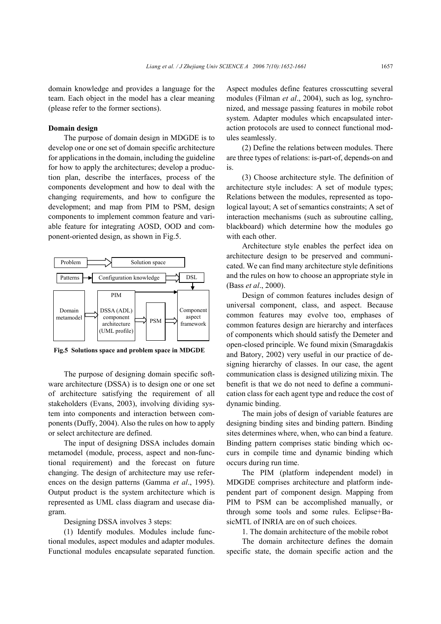domain knowledge and provides a language for the team. Each object in the model has a clear meaning (please refer to the former sections).

## **Domain design**

The purpose of domain design in MDGDE is to develop one or one set of domain specific architecture for applications in the domain, including the guideline for how to apply the architectures; develop a production plan, describe the interfaces, process of the components development and how to deal with the changing requirements, and how to configure the development; and map from PIM to PSM, design components to implement common feature and variable feature for integrating AOSD, OOD and component-oriented design, as shown in Fig.5.



**Fig.5 Solutions space and problem space in MDGDE**

The purpose of designing domain specific software architecture (DSSA) is to design one or one set of architecture satisfying the requirement of all stakeholders (Evans, 2003), involving dividing system into components and interaction between components (Duffy, 2004). Also the rules on how to apply or select architecture are defined.

The input of designing DSSA includes domain metamodel (module, process, aspect and non-functional requirement) and the forecast on future changing. The design of architecture may use references on the design patterns (Gamma *et al*., 1995). Output product is the system architecture which is represented as UML class diagram and usecase diagram.

Designing DSSA involves 3 steps:

(1) Identify modules. Modules include functional modules, aspect modules and adapter modules. Functional modules encapsulate separated function. Aspect modules define features crosscutting several modules (Filman *et al*., 2004), such as log, synchronized, and message passing features in mobile robot system. Adapter modules which encapsulated interaction protocols are used to connect functional modules seamlessly.

(2) Define the relations between modules. There are three types of relations: is-part-of, depends-on and is.

(3) Choose architecture style. The definition of architecture style includes: A set of module types; Relations between the modules, represented as topological layout; A set of semantics constraints; A set of interaction mechanisms (such as subroutine calling, blackboard) which determine how the modules go with each other.

Architecture style enables the perfect idea on architecture design to be preserved and communicated. We can find many architecture style definitions and the rules on how to choose an appropriate style in (Bass *et al*., 2000).

Design of common features includes design of universal component, class, and aspect. Because common features may evolve too, emphases of common features design are hierarchy and interfaces of components which should satisfy the Demeter and open-closed principle. We found mixin (Smaragdakis and Batory, 2002) very useful in our practice of designing hierarchy of classes. In our case, the agent communication class is designed utilizing mixin. The benefit is that we do not need to define a communication class for each agent type and reduce the cost of dynamic binding.

The main jobs of design of variable features are designing binding sites and binding pattern. Binding sites determines where, when, who can bind a feature. Binding pattern comprises static binding which occurs in compile time and dynamic binding which occurs during run time.

The PIM (platform independent model) in MDGDE comprises architecture and platform independent part of component design. Mapping from PIM to PSM can be accomplished manually, or through some tools and some rules. Eclipse+BasicMTL of INRIA are on of such choices.

1. The domain architecture of the mobile robot

The domain architecture defines the domain specific state, the domain specific action and the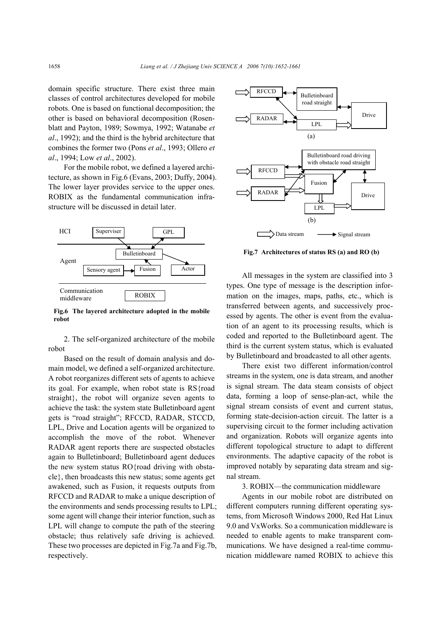domain specific structure. There exist three main classes of control architectures developed for mobile robots. One is based on functional decomposition; the other is based on behavioral decomposition (Rosenblatt and Payton, 1989; Sowmya, 1992; Watanabe *et al*., 1992); and the third is the hybrid architecture that combines the former two (Pons *et al*., 1993; Ollero *et al*., 1994; Low *et al*., 2002).

For the mobile robot, we defined a layered architecture, as shown in Fig.6 (Evans, 2003; Duffy, 2004). The lower layer provides service to the upper ones. ROBIX as the fundamental communication infrastructure will be discussed in detail later.



**Fig.6 The layered architecture adopted in the mobile robot**

2. The self-organized architecture of the mobile robot

Based on the result of domain analysis and domain model, we defined a self-organized architecture. A robot reorganizes different sets of agents to achieve its goal. For example, when robot state is RS{road straight}, the robot will organize seven agents to achieve the task: the system state Bulletinboard agent gets is "road straight"; RFCCD, RADAR, STCCD, LPL, Drive and Location agents will be organized to accomplish the move of the robot. Whenever RADAR agent reports there are suspected obstacles again to Bulletinboard; Bulletinboard agent deduces the new system status RO{road driving with obstacle}, then broadcasts this new status; some agents get awakened, such as Fusion, it requests outputs from RFCCD and RADAR to make a unique description of the environments and sends processing results to LPL; some agent will change their interior function, such as LPL will change to compute the path of the steering obstacle; thus relatively safe driving is achieved. These two processes are depicted in Fig.7a and Fig.7b, respectively.



**Fig.7 Architectures of status RS (a) and RO (b)** 

All messages in the system are classified into 3 types. One type of message is the description information on the images, maps, paths, etc., which is transferred between agents, and successively processed by agents. The other is event from the evaluation of an agent to its processing results, which is coded and reported to the Bulletinboard agent. The third is the current system status, which is evaluated by Bulletinboard and broadcasted to all other agents.

There exist two different information/control streams in the system, one is data stream, and another is signal stream. The data steam consists of object data, forming a loop of sense-plan-act, while the signal stream consists of event and current status, forming state-decision-action circuit. The latter is a supervising circuit to the former including activation and organization. Robots will organize agents into different topological structure to adapt to different environments. The adaptive capacity of the robot is improved notably by separating data stream and signal stream.

3. ROBIX—the communication middleware

Agents in our mobile robot are distributed on different computers running different operating systems, from Microsoft Windows 2000, Red Hat Linux 9.0 and VxWorks. So a communication middleware is needed to enable agents to make transparent communications. We have designed a real-time communication middleware named ROBIX to achieve this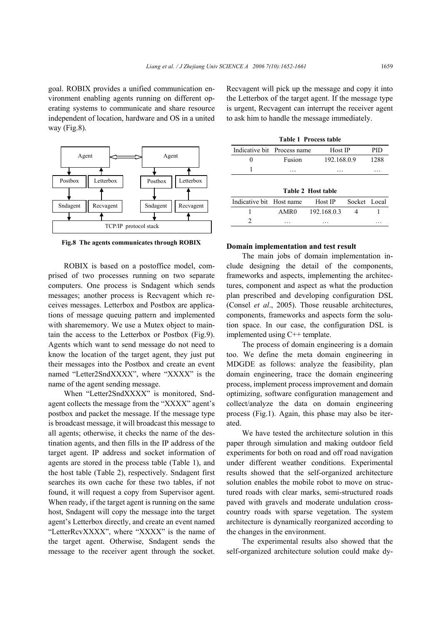goal. ROBIX provides a unified communication environment enabling agents running on different operating systems to communicate and share resource independent of location, hardware and OS in a united way (Fig.8).



**Fig.8 The agents communicates through ROBIX**

ROBIX is based on a postoffice model, comprised of two processes running on two separate computers. One process is Sndagent which sends messages; another process is Recvagent which receives messages. Letterbox and Postbox are applications of message queuing pattern and implemented with sharememory. We use a Mutex object to maintain the access to the Letterbox or Postbox (Fig.9). Agents which want to send message do not need to know the location of the target agent, they just put their messages into the Postbox and create an event named "Letter2SndXXXX", where "XXXX" is the name of the agent sending message.

When "Letter2SndXXXX" is monitored, Sndagent collects the message from the "XXXX" agent's postbox and packet the message. If the message type is broadcast message, it will broadcast this message to all agents; otherwise, it checks the name of the destination agents, and then fills in the IP address of the target agent. IP address and socket information of agents are stored in the process table (Table 1), and the host table (Table 2), respectively. Sndagent first searches its own cache for these two tables, if not found, it will request a copy from Supervisor agent. When ready, if the target agent is running on the same host, Sndagent will copy the message into the target agent's Letterbox directly, and create an event named "LetterRcvXXXX", where "XXXX" is the name of the target agent. Otherwise, Sndagent sends the message to the receiver agent through the socket.

Recvagent will pick up the message and copy it into the Letterbox of the target agent. If the message type is urgent, Recvagent can interrupt the receiver agent to ask him to handle the message immediately.

| <b>Table 1 Process table</b> |                             |             |      |  |
|------------------------------|-----------------------------|-------------|------|--|
|                              | Indicative bit Process name | Host IP     | PID  |  |
|                              | Fusion                      | 192.168.0.9 | 1288 |  |
|                              |                             |             |      |  |
|                              | Table 2 Host table          |             |      |  |

| Table 2 Host table       |      |                      |                |  |  |
|--------------------------|------|----------------------|----------------|--|--|
| Indicative bit Host name |      | Host IP Socket Local |                |  |  |
|                          | AMR0 | 192.168.0.3          | $\overline{4}$ |  |  |
|                          | .    | .                    |                |  |  |
|                          |      |                      |                |  |  |

#### **Domain implementation and test result**

The main jobs of domain implementation include designing the detail of the components, frameworks and aspects, implementing the architectures, component and aspect as what the production plan prescribed and developing configuration DSL (Consel *et al*., 2005). Those reusable architectures, components, frameworks and aspects form the solution space. In our case, the configuration DSL is implemented using C++ template.

The process of domain engineering is a domain too. We define the meta domain engineering in MDGDE as follows: analyze the feasibility, plan domain engineering, trace the domain engineering process, implement process improvement and domain optimizing, software configuration management and collect/analyze the data on domain engineering process (Fig.1). Again, this phase may also be iterated.

We have tested the architecture solution in this paper through simulation and making outdoor field experiments for both on road and off road navigation under different weather conditions. Experimental results showed that the self-organized architecture solution enables the mobile robot to move on structured roads with clear marks, semi-structured roads paved with gravels and moderate undulation crosscountry roads with sparse vegetation. The system architecture is dynamically reorganized according to the changes in the environment.

The experimental results also showed that the self-organized architecture solution could make dy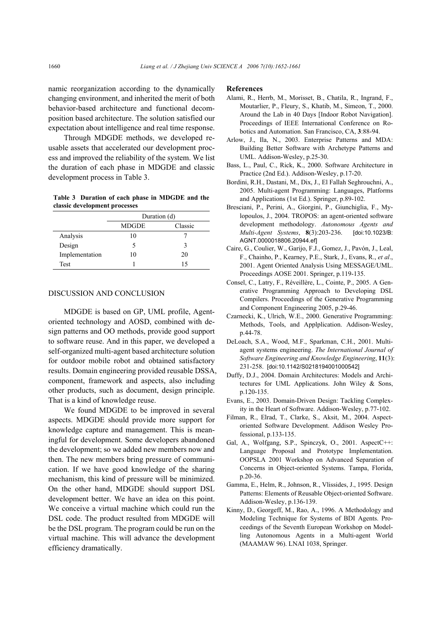namic reorganization according to the dynamically changing environment, and inherited the merit of both behavior-based architecture and functional decomposition based architecture. The solution satisfied our expectation about intelligence and real time response.

Through MDGDE methods, we developed reusable assets that accelerated our development process and improved the reliability of the system. We list the duration of each phase in MDGDE and classic development process in Table 3.

#### **Table 3 Duration of each phase in MDGDE and the classic development processes**

|                | Duration (d) |         |
|----------------|--------------|---------|
|                | MDGDE        | Classic |
| Analysis       | 10           |         |
| Design         |              |         |
| Implementation | 10           | 20      |
| Test           |              | 15      |

## DISCUSSION AND CONCLUSION

MDGDE is based on GP, UML profile, Agentoriented technology and AOSD, combined with design patterns and OO methods, provide good support to software reuse. And in this paper, we developed a self-organized multi-agent based architecture solution for outdoor mobile robot and obtained satisfactory results. Domain engineering provided reusable DSSA, component, framework and aspects, also including other products, such as document, design principle. That is a kind of knowledge reuse.

We found MDGDE to be improved in several aspects. MDGDE should provide more support for knowledge capture and management. This is meaningful for development. Some developers abandoned the development; so we added new members now and then. The new members bring pressure of communication. If we have good knowledge of the sharing mechanism, this kind of pressure will be minimized. On the other hand, MDGDE should support DSL development better. We have an idea on this point. We conceive a virtual machine which could run the DSL code. The product resulted from MDGDE will be the DSL program. The program could be run on the virtual machine. This will advance the development efficiency dramatically.

#### **References**

- Alami, R., Herrb, M., Morisset, B., Chatila, R., Ingrand, F., Moutarlier, P., Fleury, S., Khatib, M., Simeon, T., 2000. Around the Lab in 40 Days [Indoor Robot Navigation]. Proceedings of IEEE International Conference on Robotics and Automation. San Francisco, CA, **3**:88-94.
- Arlow, J., Ila, N., 2003. Enterprise Patterns and MDA: Building Better Software with Archetype Patterns and UML. Addison-Wesley, p.25-30.
- Bass, L., Paul, C., Rick, K., 2000. Software Architecture in Practice (2nd Ed.). Addison-Wesley, p.17-20.
- Bordini, R.H., Dastani, M., Dix, J., El Fallah Seghrouchni, A., 2005. Multi-agent Programming: Languages, Platforms and Applications (1st Ed.). Springer, p.89-102.
- Bresciani, P., Perini, A., Giorgini, P., Giunchiglia, F., Mylopoulos, J., 2004. TROPOS: an agent-oriented software development methodology. *Autonomous Agents and Multi-Agent Systems*, **8**(3):203-236. [doi:10.1023/B: AGNT.0000018806.20944.ef]
- Caire, G., Coulier, W., Garijo, F.J., Gomez, J., Pavón, J., Leal, F., Chainho, P., Kearney, P.E., Stark, J., Evans, R., *et al*., 2001. Agent Oriented Analysis Using MESSAGE/UML. Proceedings AOSE 2001. Springer, p.119-135.
- Consel, C., Latry, F., Réveillère, L., Cointe, P., 2005. A Generative Programming Approach to Developing DSL Compilers. Proceedings of the Generative Programming and Component Engineering 2005, p.29-46.
- Czarnecki, K., Ulrich, W.E., 2000. Generative Programming: Methods, Tools, and Applplication. Addison-Wesley, p.44-78.
- DeLoach, S.A., Wood, M.F., Sparkman, C.H., 2001. Multiagent systems engineering. *The International Journal of Software Engineering and Knowledge Engineering*, **11**(3): 231-258. [doi:10.1142/S0218194001000542]
- Duffy, D.J., 2004. Domain Architectures: Models and Architectures for UML Applications. John Wiley & Sons, p.120-135.
- Evans, E., 2003. Domain-Driven Design: Tackling Complexity in the Heart of Software. Addison-Wesley, p.77-102.
- Filman, R., Elrad, T., Clarke, S., Aksit, M., 2004. Aspectoriented Software Development. Addison Wesley Professional, p.133-135.
- Gal, A., Wolfgang, S.P., Spinczyk, O., 2001. AspectC++: Language Proposal and Prototype Implementation. OOPSLA 2001 Workshop on Advanced Separation of Concerns in Object-oriented Systems. Tampa, Florida, p.20-36.
- Gamma, E., Helm, R., Johnson, R., Vlissides, J., 1995. Design Patterns: Elements of Reusable Object-oriented Software. Addison-Wesley, p.136-139.
- Kinny, D., Georgeff, M., Rao, A., 1996. A Methodology and Modeling Technique for Systems of BDI Agents. Proceedings of the Seventh European Workshop on Modelling Autonomous Agents in a Multi-agent World (MAAMAW 96). LNAI 1038, Springer.